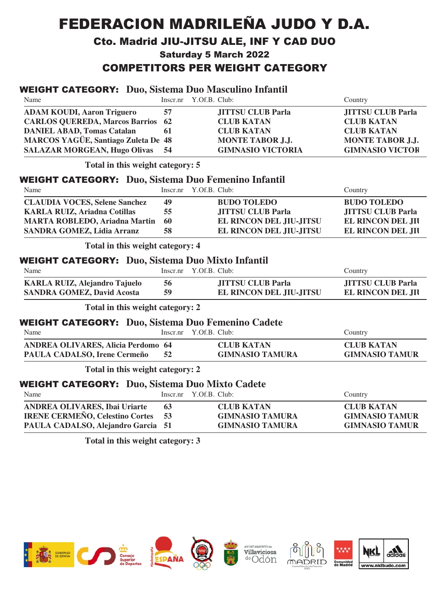# FEDERACION MADRILEÑA JUDO Y D.A.

#### Cto. Madrid JIU-JITSU ALE, INF Y CAD DUO

**Saturday 5 March 2022** 

## COMPETITORS PER WEIGHT CATEGORY

#### WE IGHT - **- - - -** - -%' **Duo, Sistema Duo Masculino Infantil**

|                                       |                                                                                                                                                                                                                                               | Country                                                                                                                                                                                                                                                                                                                                                                                                                                                                                                                                                                                                                    |
|---------------------------------------|-----------------------------------------------------------------------------------------------------------------------------------------------------------------------------------------------------------------------------------------------|----------------------------------------------------------------------------------------------------------------------------------------------------------------------------------------------------------------------------------------------------------------------------------------------------------------------------------------------------------------------------------------------------------------------------------------------------------------------------------------------------------------------------------------------------------------------------------------------------------------------------|
|                                       |                                                                                                                                                                                                                                               |                                                                                                                                                                                                                                                                                                                                                                                                                                                                                                                                                                                                                            |
|                                       |                                                                                                                                                                                                                                               | <b>JITTSU CLUB Parla</b>                                                                                                                                                                                                                                                                                                                                                                                                                                                                                                                                                                                                   |
|                                       |                                                                                                                                                                                                                                               | <b>CLUB KATAN</b>                                                                                                                                                                                                                                                                                                                                                                                                                                                                                                                                                                                                          |
|                                       |                                                                                                                                                                                                                                               | <b>CLUB KATAN</b>                                                                                                                                                                                                                                                                                                                                                                                                                                                                                                                                                                                                          |
|                                       |                                                                                                                                                                                                                                               | <b>MONTE TABOR J.J.</b>                                                                                                                                                                                                                                                                                                                                                                                                                                                                                                                                                                                                    |
|                                       |                                                                                                                                                                                                                                               | <b>GIMNASIO VICTOR</b>                                                                                                                                                                                                                                                                                                                                                                                                                                                                                                                                                                                                     |
| Total in this weight category: 5      |                                                                                                                                                                                                                                               |                                                                                                                                                                                                                                                                                                                                                                                                                                                                                                                                                                                                                            |
|                                       |                                                                                                                                                                                                                                               |                                                                                                                                                                                                                                                                                                                                                                                                                                                                                                                                                                                                                            |
| Inscr.nr                              |                                                                                                                                                                                                                                               | Country                                                                                                                                                                                                                                                                                                                                                                                                                                                                                                                                                                                                                    |
| 49                                    | <b>BUDO TOLEDO</b>                                                                                                                                                                                                                            | <b>BUDO TOLEDO</b>                                                                                                                                                                                                                                                                                                                                                                                                                                                                                                                                                                                                         |
| 55                                    | <b>JITTSU CLUB Parla</b>                                                                                                                                                                                                                      | <b>JITTSU CLUB Parla</b>                                                                                                                                                                                                                                                                                                                                                                                                                                                                                                                                                                                                   |
| 60                                    | EL RINCON DEL JIU-JITSU                                                                                                                                                                                                                       | <b>EL RINCON DEL JII</b>                                                                                                                                                                                                                                                                                                                                                                                                                                                                                                                                                                                                   |
| 58                                    | EL RINCON DEL JIU-JITSU                                                                                                                                                                                                                       | <b>EL RINCON DEL JII</b>                                                                                                                                                                                                                                                                                                                                                                                                                                                                                                                                                                                                   |
|                                       |                                                                                                                                                                                                                                               |                                                                                                                                                                                                                                                                                                                                                                                                                                                                                                                                                                                                                            |
|                                       |                                                                                                                                                                                                                                               |                                                                                                                                                                                                                                                                                                                                                                                                                                                                                                                                                                                                                            |
|                                       |                                                                                                                                                                                                                                               | Country                                                                                                                                                                                                                                                                                                                                                                                                                                                                                                                                                                                                                    |
|                                       |                                                                                                                                                                                                                                               |                                                                                                                                                                                                                                                                                                                                                                                                                                                                                                                                                                                                                            |
|                                       |                                                                                                                                                                                                                                               | <b>JITTSU CLUB Parla</b>                                                                                                                                                                                                                                                                                                                                                                                                                                                                                                                                                                                                   |
|                                       |                                                                                                                                                                                                                                               | <b>EL RINCON DEL JII</b>                                                                                                                                                                                                                                                                                                                                                                                                                                                                                                                                                                                                   |
| Total in this weight category: 2      |                                                                                                                                                                                                                                               |                                                                                                                                                                                                                                                                                                                                                                                                                                                                                                                                                                                                                            |
|                                       |                                                                                                                                                                                                                                               |                                                                                                                                                                                                                                                                                                                                                                                                                                                                                                                                                                                                                            |
| Inscr.nr                              |                                                                                                                                                                                                                                               | Country                                                                                                                                                                                                                                                                                                                                                                                                                                                                                                                                                                                                                    |
|                                       |                                                                                                                                                                                                                                               | <b>CLUB KATAN</b>                                                                                                                                                                                                                                                                                                                                                                                                                                                                                                                                                                                                          |
|                                       |                                                                                                                                                                                                                                               | <b>GIMNASIO TAMUR</b>                                                                                                                                                                                                                                                                                                                                                                                                                                                                                                                                                                                                      |
|                                       |                                                                                                                                                                                                                                               |                                                                                                                                                                                                                                                                                                                                                                                                                                                                                                                                                                                                                            |
|                                       |                                                                                                                                                                                                                                               |                                                                                                                                                                                                                                                                                                                                                                                                                                                                                                                                                                                                                            |
|                                       |                                                                                                                                                                                                                                               |                                                                                                                                                                                                                                                                                                                                                                                                                                                                                                                                                                                                                            |
|                                       |                                                                                                                                                                                                                                               | Country                                                                                                                                                                                                                                                                                                                                                                                                                                                                                                                                                                                                                    |
| 63                                    | <b>CLUB KATAN</b>                                                                                                                                                                                                                             | <b>CLUB KATAN</b>                                                                                                                                                                                                                                                                                                                                                                                                                                                                                                                                                                                                          |
| 53                                    | <b>GIMNASIO TAMURA</b>                                                                                                                                                                                                                        | <b>GIMNASIO TAMUR</b>                                                                                                                                                                                                                                                                                                                                                                                                                                                                                                                                                                                                      |
| PAULA CADALSO, Alejandro Garcia 51    | <b>GIMNASIO TAMURA</b>                                                                                                                                                                                                                        | <b>GIMNASIO TAMUR</b>                                                                                                                                                                                                                                                                                                                                                                                                                                                                                                                                                                                                      |
|                                       |                                                                                                                                                                                                                                               |                                                                                                                                                                                                                                                                                                                                                                                                                                                                                                                                                                                                                            |
| Total in this weight category: 3      |                                                                                                                                                                                                                                               |                                                                                                                                                                                                                                                                                                                                                                                                                                                                                                                                                                                                                            |
| <b>CARLOS QUEREDA, Marcos Barrios</b> | Inscr.nr<br>57<br>62<br>61<br><b>MARCOS YAGÜE, Santiago Zuleta De 48</b><br>54<br>Total in this weight category: 4<br>Inscr.nr<br>56<br>59<br><b>ANDREA OLIVARES, Alicia Perdomo 64</b><br>52<br>Total in this weight category: 2<br>Inscr.nr | WEIGHT CATEGORY: Duo, Sistema Duo Masculino Infantil<br>Y.Of.B. Club:<br><b>JITTSU CLUB Parla</b><br><b>CLUB KATAN</b><br><b>CLUB KATAN</b><br><b>MONTE TABOR J.J.</b><br><b>GIMNASIO VICTORIA</b><br><b>WEIGHT CATEGORY:</b> Duo, Sistema Duo Femenino Infantil<br>Y.Of.B. Club:<br><b>WEIGHT CATEGORY:</b> Duo, Sistema Duo Mixto Infantil<br>Y.Of.B. Club:<br><b>JITTSU CLUB Parla</b><br>EL RINCON DEL JIU-JITSU<br><b>WEIGHT CATEGORY:</b> Duo, Sistema Duo Femenino Cadete<br>Y.Of.B. Club:<br><b>CLUB KATAN</b><br><b>GIMNASIO TAMURA</b><br><b>WEIGHT CATEGORY:</b> Duo, Sistema Duo Mixto Cadete<br>Y.Of.B. Club: |

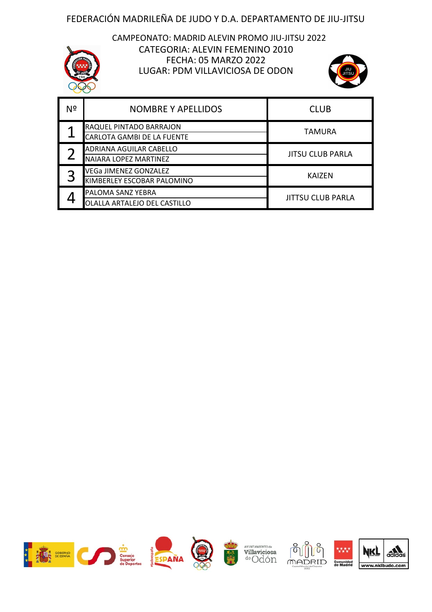CATEGORIA: ALEVIN FEMENINO 2010 CAMPEONATO: MADRID ALEVIN PROMO JIU-JITSU 2022 FECHA: 05 MARZO 2022 LUGAR: PDM VILLAVICIOSA DE ODON



| Nº | <b>NOMBRE Y APELLIDOS</b>                                    | <b>CLUB</b>             |
|----|--------------------------------------------------------------|-------------------------|
|    | RAQUEL PINTADO BARRAJON<br><b>CARLOTA GAMBI DE LA FUENTE</b> | <b>TAMURA</b>           |
|    | ADRIANA AGUILAR CABELLO<br>NAIARA LOPEZ MARTINEZ             | <b>JITSU CLUB PARLA</b> |
|    | VEGa JIMENEZ GONZALEZ<br>KIMBERLEY ESCOBAR PALOMINO          | <b>KAIZEN</b>           |
|    | PALOMA SANZ YEBRA<br>OLALLA ARTALEJO DEL CASTILLO            | JITTSU CLUB PARLA       |

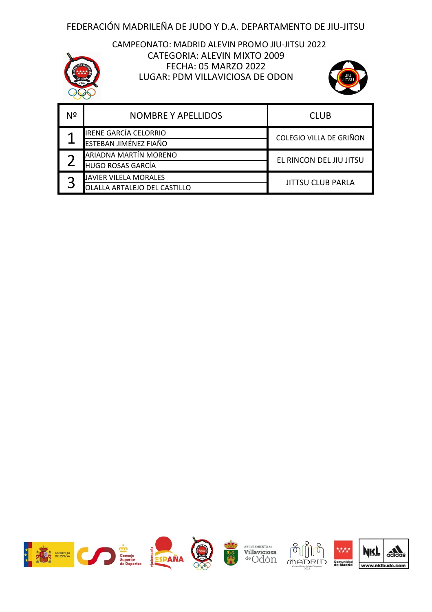#### CAMPEONATO: MADRID ALEVIN PROMO JIU-JITSU 2022 CATEGORIA: ALEVIN MIXTO 2009 FECHA: 05 MARZO 2022 LUGAR: PDM VILLAVICIOSA DE ODON



| Nº | <b>NOMBRE Y APELLIDOS</b>                                | <b>CLUB</b>              |
|----|----------------------------------------------------------|--------------------------|
|    | <b>IRENE GARCÍA CELORRIO</b><br>ESTEBAN JIMÉNEZ FIAÑO    | COLEGIO VILLA DE GRIÑON  |
|    | ARIADNA MARTÍN MORENO<br><b>HUGO ROSAS GARCÍA</b>        | EL RINCON DEL JIU JITSU  |
|    | <b>JAVIER VILELA MORALES</b><br>LA ARTALEJO DEL CASTILLO | <b>JITTSU CLUB PARLA</b> |

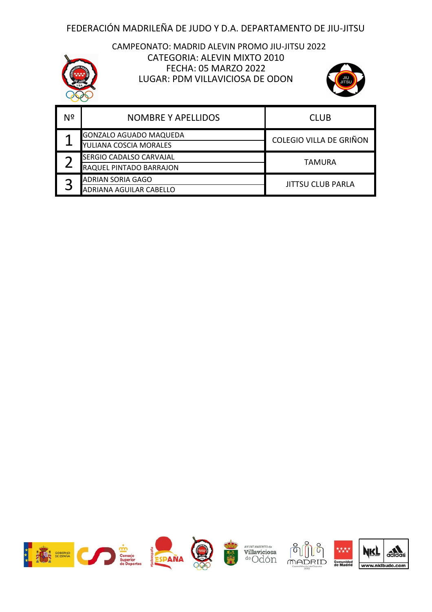

#### CAMPEONATO: MADRID ALEVIN PROMO JIU-JITSU 2022 CATEGORIA: ALEVIN MIXTO 2010 FECHA: 05 MARZO 2022 LUGAR: PDM VILLAVICIOSA DE ODON



| Nº | <b>NOMBRE Y APELLIDOS</b>     | <b>CLUB</b>             |
|----|-------------------------------|-------------------------|
|    | <b>GONZALO AGUADO MAQUEDA</b> | COLEGIO VILLA DE GRIÑON |
|    | YULIANA COSCIA MORALES        |                         |
|    | SERGIO CADALSO CARVAJAL       | TAMURA                  |
|    | RAQUEL PINTADO BARRAJON       |                         |
|    | <b>ADRIAN SORIA GAGO</b>      | JITTSU CLUB PARLA       |
|    | ADRIANA AGUILAR CABELLO       |                         |

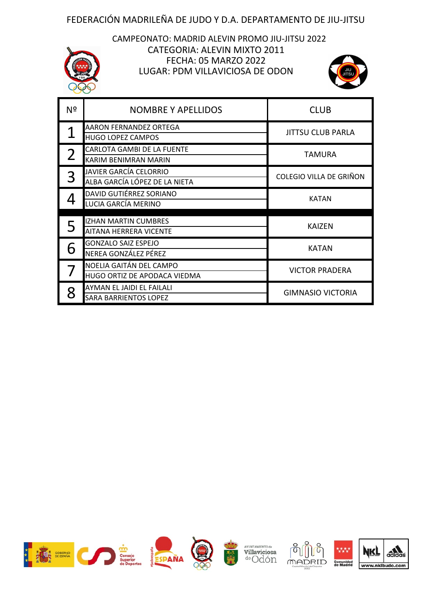#### CAMPEONATO: MADRID ALEVIN PROMO JIU-JITSU 2022 CATEGORIA: ALEVIN MIXTO 2011 FECHA: 05 MARZO 2022 LUGAR: PDM VILLAVICIOSA DE ODON



| Nº | <b>NOMBRE Y APELLIDOS</b>                                 | <b>CLUB</b>              |
|----|-----------------------------------------------------------|--------------------------|
|    | <b>AARON FERNANDEZ ORTEGA</b><br><b>HUGO LOPEZ CAMPOS</b> | <b>JITTSU CLUB PARLA</b> |
|    | <b>CARLOTA GAMBI DE LA FUENTE</b><br>KARIM BENIMRAN MARIN | <b>TAMURA</b>            |
|    | JAVIER GARCÍA CELORRIO<br>ALBA GARCÍA LÓPEZ DE LA NIETA   | COLEGIO VILLA DE GRIÑON  |
|    | DAVID GUTIÉRREZ SORIANO<br>LUCIA GARCÍA MERINO            | KATAN                    |
| 5  | <b>IZHAN MARTIN CUMBRES</b><br>AITANA HERRERA VICENTE     | <b>KAIZEN</b>            |
| 6  | <b>GONZALO SAIZ ESPEJO</b><br>NEREA GONZÁLEZ PÉREZ        | <b>KATAN</b>             |
|    | NOELIA GAITÁN DEL CAMPO<br>HUGO ORTIZ DE APODACA VIEDMA   | <b>VICTOR PRADERA</b>    |
|    | AYMAN EL JAIDI EL FAILALI<br>SARA BARRIENTOS LOPEZ        | <b>GIMNASIO VICTORIA</b> |

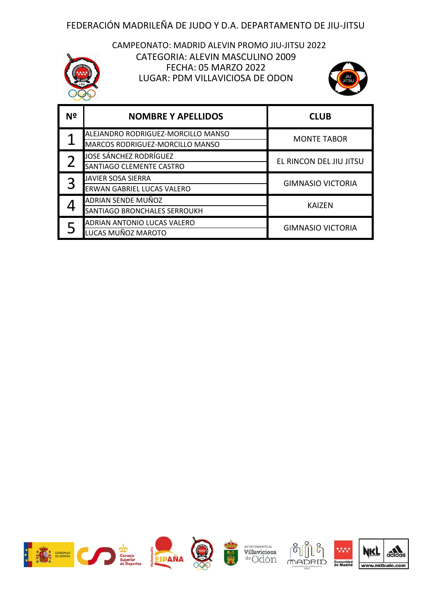

#### CATEGORIA: ALEVIN MASCULINO 2009 CAMPEONATO: MADRID ALEVIN PROMO JIU-JITSU 2022 FECHA: 05 MARZO 2022 LUGAR: PDM VILLAVICIOSA DE ODON



| Nº | <b>NOMBRE Y APELLIDOS</b>                                             | <b>CLUB</b>              |
|----|-----------------------------------------------------------------------|--------------------------|
|    | ALEJANDRO RODRIGUEZ-MORCILLO MANSO<br>MARCOS RODRIGUEZ-MORCILLO MANSO | <b>MONTE TABOR</b>       |
|    | JOSE SÁNCHEZ RODRÍGUEZ<br>SANTIAGO CLEMENTE CASTRO                    | EL RINCON DEL JIU JITSU  |
|    | <b>JAVIER SOSA SIERRA</b><br><b>ERWAN GABRIEL LUCAS VALERO</b>        | <b>GIMNASIO VICTORIA</b> |
|    | ADRIAN SENDE MUÑOZ<br><b>SANTIAGO BRONCHALES SERROUKH</b>             | <b>KAIZEN</b>            |
|    | <b>ADRIAN ANTONIO LUCAS VALERO</b><br>LUCAS MUÑOZ MAROTO              | <b>GIMNASIO VICTORIA</b> |

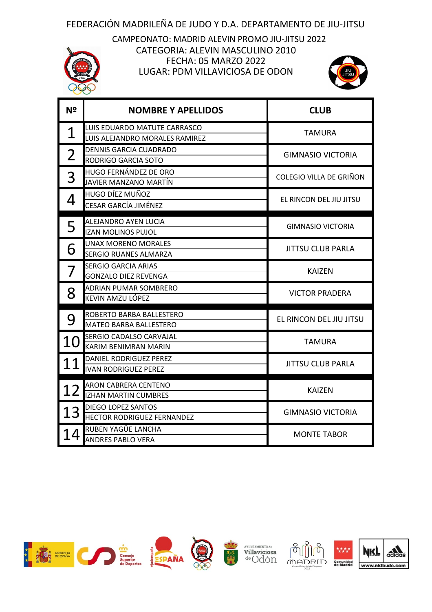LUGAR: PDM VILLAVICIOSA DE ODON CAMPEONATO: MADRID ALEVIN PROMO JIU-JITSU 2022 FECHA: 05 MARZO 2022 CATEGORIA: ALEVIN MASCULINO 2010



| N <sup>o</sup> | <b>NOMBRE Y APELLIDOS</b>                                      | <b>CLUB</b>              |
|----------------|----------------------------------------------------------------|--------------------------|
| 1              | LUIS EDUARDO MATUTE CARRASCO<br>LUIS ALEJANDRO MORALES RAMIREZ | <b>TAMURA</b>            |
| $\overline{2}$ | DENNIS GARCIA CUADRADO<br>RODRIGO GARCIA SOTO                  | <b>GIMNASIO VICTORIA</b> |
| 3              | HUGO FERNÁNDEZ DE ORO<br>JAVIER MANZANO MARTÍN                 | COLEGIO VILLA DE GRIÑON  |
| 4              | <b>HUGO DÍEZ MUÑOZ</b><br><b>CESAR GARCÍA JIMÉNEZ</b>          | EL RINCON DEL JIU JITSU  |
| 5              | ALEJANDRO AYEN LUCIA<br><b>IZAN MOLINOS PUJOL</b>              | GIMNASIO VICTORIA        |
| 6              | UNAX MORENO MORALES<br><b>SERGIO RUANES ALMARZA</b>            | <b>JITTSU CLUB PARLA</b> |
|                | <b>SERGIO GARCIA ARIAS</b><br><b>GONZALO DIEZ REVENGA</b>      | <b>KAIZEN</b>            |
| 8              | <b>ADRIAN PUMAR SOMBRERO</b><br>KEVIN AMZU LÓPEZ               | <b>VICTOR PRADERA</b>    |
| 9              | ROBERTO BARBA BALLESTERO<br><b>MATEO BARBA BALLESTERO</b>      | EL RINCON DEL JIU JITSU  |
| 10             | <b>SERGIO CADALSO CARVAJAL</b><br>KARIM BENIMRAN MARIN         | <b>TAMURA</b>            |
| 11             | DANIEL RODRIGUEZ PEREZ<br><b>IVAN RODRIGUEZ PEREZ</b>          | <b>JITTSU CLUB PARLA</b> |
| 12             | <b>ARON CABRERA CENTENO</b><br><b>IZHAN MARTIN CUMBRES</b>     | <b>KAIZEN</b>            |
| 13             | DIEGO LOPEZ SANTOS<br>HECTOR RODRIGUEZ FERNANDEZ               | <b>GIMNASIO VICTORIA</b> |
| 14             | RUBEN YAGÜE LANCHA<br><b>ANDRES PABLO VERA</b>                 | <b>MONTE TABOR</b>       |